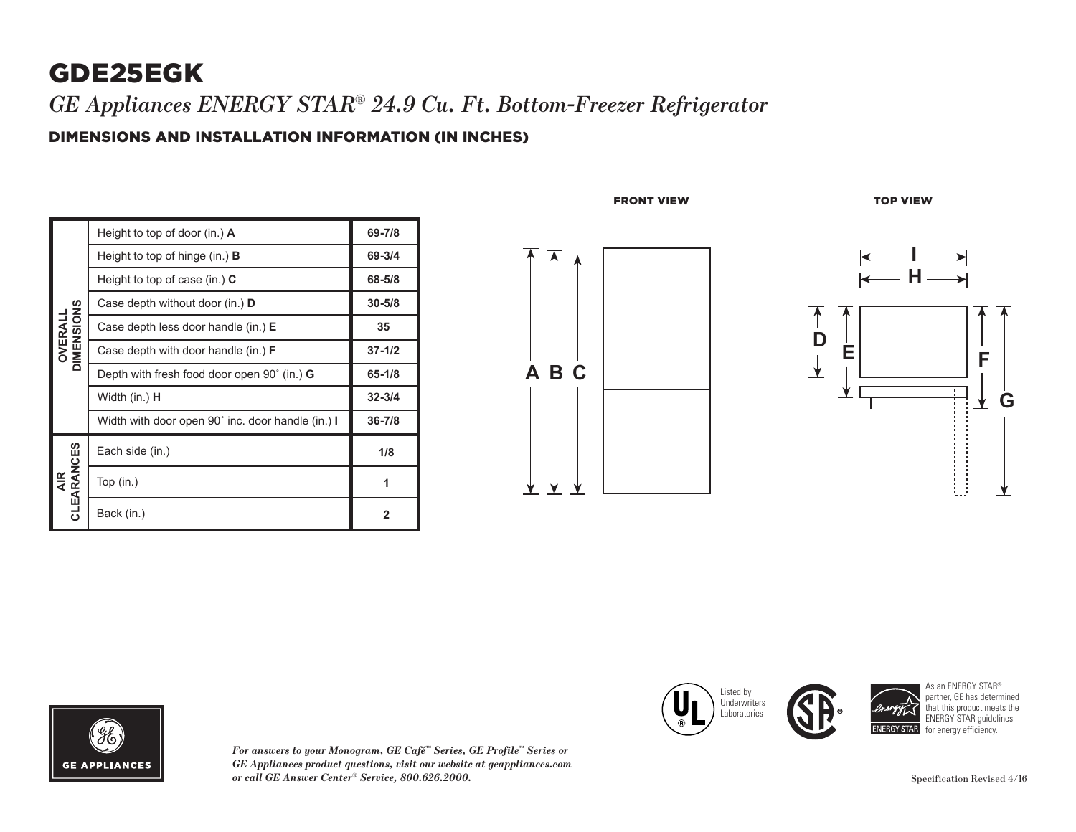## GDE25EGK

*GE Appliances ENERGY STAR® 24.9 Cu. Ft. Bottom-Freezer Refrigerator*

DIMENSIONS AND INSTALLATION INFORMATION (IN INCHES)

| OIMENSIONS<br>OVERALI | Height to top of door (in.) A                     | 69-7/8         |
|-----------------------|---------------------------------------------------|----------------|
|                       | Height to top of hinge (in.) <b>B</b>             | 69-3/4         |
|                       | Height to top of case (in.) $C$                   | 68-5/8         |
|                       | Case depth without door (in.) D                   | $30 - 5/8$     |
|                       | Case depth less door handle (in.) E               | 35             |
|                       | Case depth with door handle (in.) $F$             | $37 - 1/2$     |
|                       | Depth with fresh food door open 90° (in.) G       | $65 - 1/8$     |
|                       | Width (in.) <b>H</b>                              | $32 - 3/4$     |
|                       | Width with door open 90° inc. door handle (in.) I | $36 - 7/8$     |
| AIR<br>CLEARANCES     | Each side (in.)                                   | 1/8            |
|                       | Top $(in.)$                                       | 1              |
|                       | Back (in.)                                        | $\overline{2}$ |







*For answers to your Monogram, GE Café™ Series, GE Profile™ Series or GE Appliances product questions, visit our website at geappliances.com or call GE Answer Center® Service, 800.626.2000.*

Listed by **III Underwriters CIN** Laboratories  $\overline{\phantom{a}}$  $\circ$   $\blacksquare$ 



**32-3/4 36-7/8**

As an ENERGY STAR® partner, GE has determined that this product meets the ENERGY STAR guidelines for energy efficiency. **NERGY STAR**